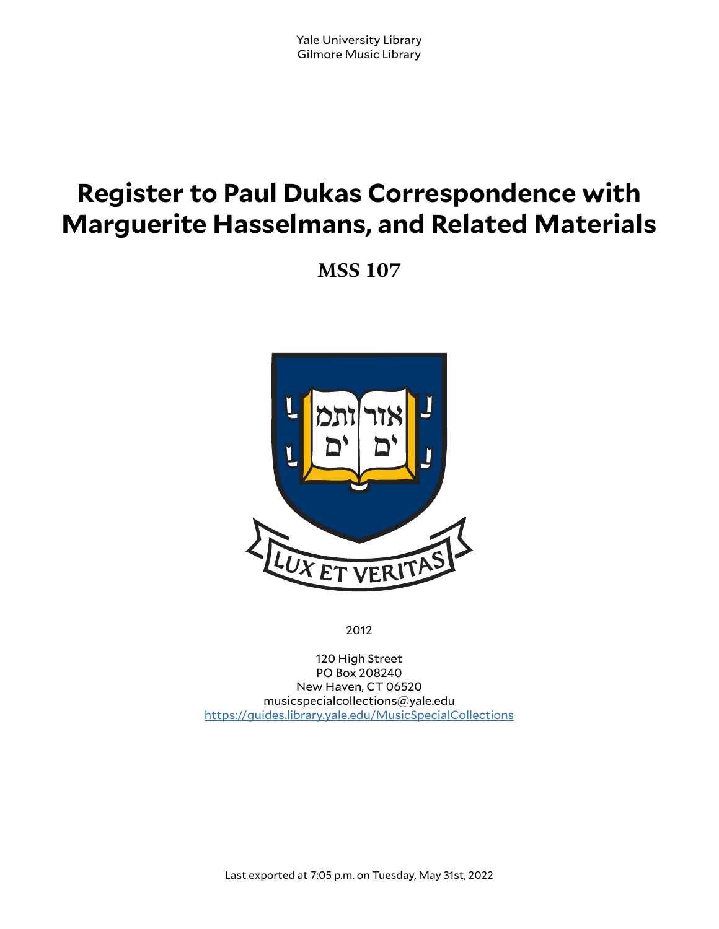# **Register to Paul Dukas Correspondence with Marguerite Hasselmans, and Related Materials**

**MSS 107**



2012

120 High Street PO Box 208240 New Haven, CT 06520 musicspecialcollections@yale.edu <https://guides.library.yale.edu/MusicSpecialCollections>

Last exported at 7:05 p.m. on Tuesday, May 31st, 2022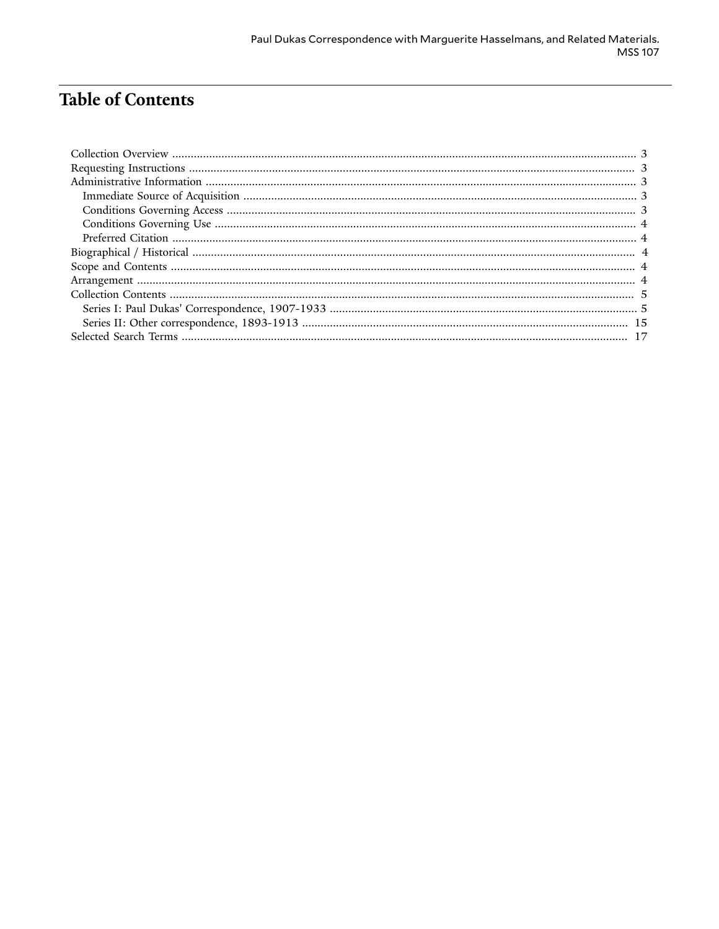# **Table of Contents**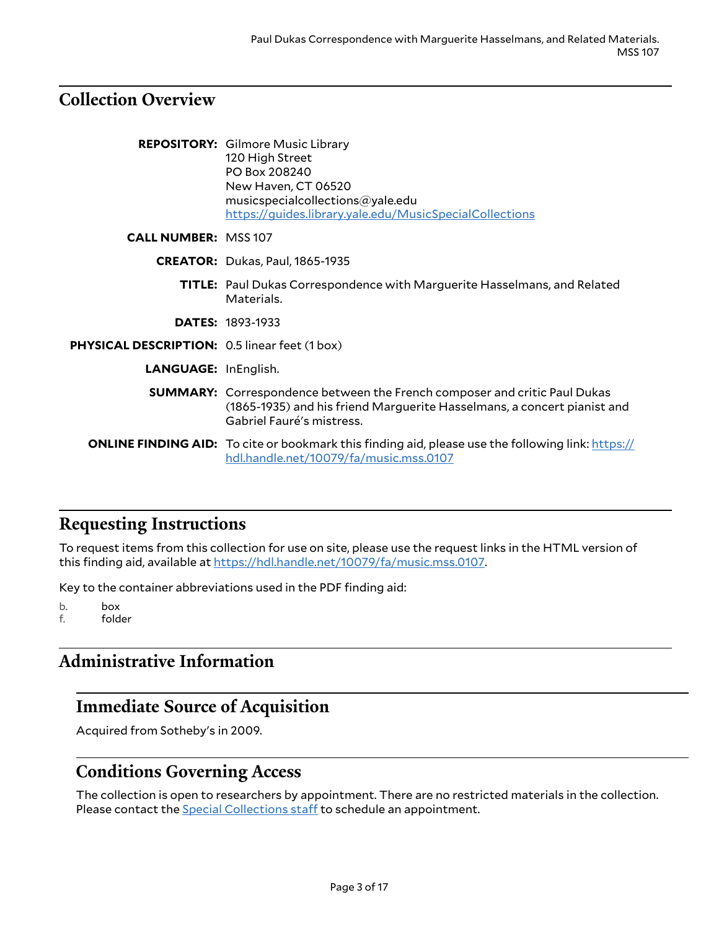## <span id="page-2-0"></span>**Collection Overview**

|                                                      | <b>REPOSITORY:</b> Gilmore Music Library<br>120 High Street<br>PO Box 208240<br>New Haven, CT 06520<br>musicspecialcollections@yale.edu<br>https://guides.library.yale.edu/MusicSpecialCollections |
|------------------------------------------------------|----------------------------------------------------------------------------------------------------------------------------------------------------------------------------------------------------|
| <b>CALL NUMBER: MSS 107</b>                          |                                                                                                                                                                                                    |
|                                                      | <b>CREATOR: Dukas, Paul, 1865-1935</b>                                                                                                                                                             |
|                                                      | <b>TITLE:</b> Paul Dukas Correspondence with Marguerite Hasselmans, and Related<br>Materials.                                                                                                      |
|                                                      | <b>DATES: 1893-1933</b>                                                                                                                                                                            |
| <b>PHYSICAL DESCRIPTION:</b> 0.5 linear feet (1 box) |                                                                                                                                                                                                    |
| LANGUAGE: InEnglish.                                 |                                                                                                                                                                                                    |
|                                                      | <b>SUMMARY:</b> Correspondence between the French composer and critic Paul Dukas<br>(1865-1935) and his friend Marguerite Hasselmans, a concert pianist and<br>Gabriel Fauré's mistress.           |
|                                                      | <b>ONLINE FINDING AID:</b> To cite or bookmark this finding aid, please use the following link: https://<br>hdl.handle.net/10079/fa/music.mss.0107                                                 |

## <span id="page-2-1"></span>**Requesting Instructions**

To request items from this collection for use on site, please use the request links in the HTML version of this finding aid, available at [https://hdl.handle.net/10079/fa/music.mss.0107.](https://hdl.handle.net/10079/fa/music.mss.0107)

Key to the container abbreviations used in the PDF finding aid:

b. box f. folder

### <span id="page-2-2"></span>**Administrative Information**

#### <span id="page-2-3"></span>**Immediate Source of Acquisition**

Acquired from Sotheby's in 2009.

#### <span id="page-2-4"></span>**Conditions Governing Access**

The collection is open to researchers by appointment. There are no restricted materials in the collection. Please contact the **Special [Collections](http://www.library.yale.edu/musiclib) staff** to schedule an appointment.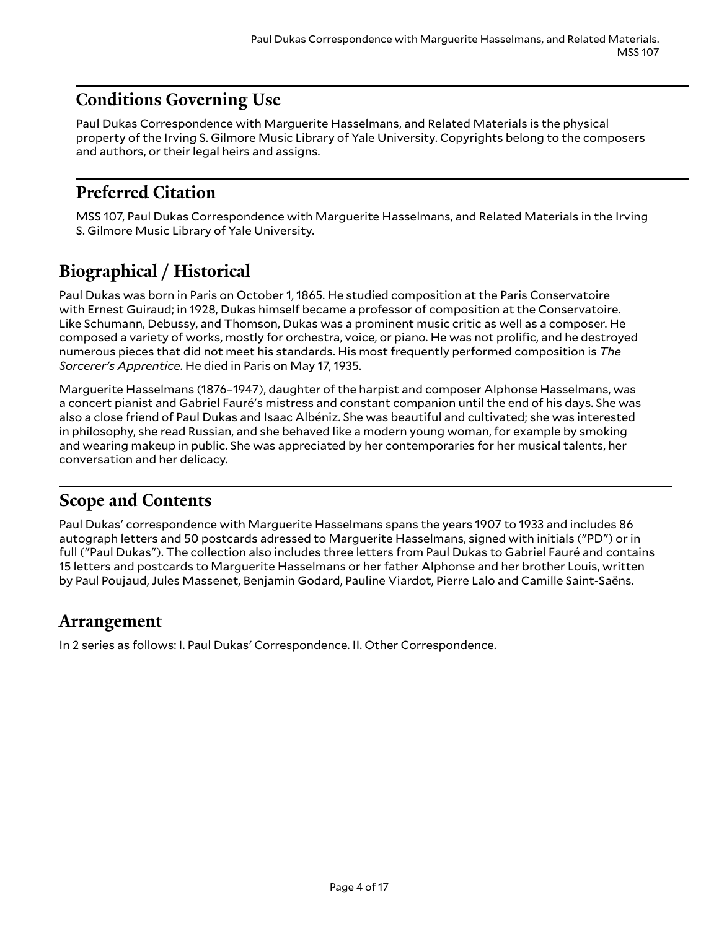# <span id="page-3-0"></span>**Conditions Governing Use**

Paul Dukas Correspondence with Marguerite Hasselmans, and Related Materials is the physical property of the Irving S. Gilmore Music Library of Yale University. Copyrights belong to the composers and authors, or their legal heirs and assigns.

# <span id="page-3-1"></span>**Preferred Citation**

MSS 107, Paul Dukas Correspondence with Marguerite Hasselmans, and Related Materials in the Irving S. Gilmore Music Library of Yale University.

# <span id="page-3-2"></span>**Biographical / Historical**

Paul Dukas was born in Paris on October 1, 1865. He studied composition at the Paris Conservatoire with Ernest Guiraud; in 1928, Dukas himself became a professor of composition at the Conservatoire. Like Schumann, Debussy, and Thomson, Dukas was a prominent music critic as well as a composer. He composed a variety of works, mostly for orchestra, voice, or piano. He was not prolific, and he destroyed numerous pieces that did not meet his standards. His most frequently performed composition is *The Sorcerer's Apprentice*. He died in Paris on May 17, 1935.

Marguerite Hasselmans (1876–1947), daughter of the harpist and composer Alphonse Hasselmans, was a concert pianist and Gabriel Fauré's mistress and constant companion until the end of his days. She was also a close friend of Paul Dukas and Isaac Albéniz. She was beautiful and cultivated; she was interested in philosophy, she read Russian, and she behaved like a modern young woman, for example by smoking and wearing makeup in public. She was appreciated by her contemporaries for her musical talents, her conversation and her delicacy.

# <span id="page-3-3"></span>**Scope and Contents**

Paul Dukas' correspondence with Marguerite Hasselmans spans the years 1907 to 1933 and includes 86 autograph letters and 50 postcards adressed to Marguerite Hasselmans, signed with initials ("PD") or in full ("Paul Dukas"). The collection also includes three letters from Paul Dukas to Gabriel Fauré and contains 15 letters and postcards to Marguerite Hasselmans or her father Alphonse and her brother Louis, written by Paul Poujaud, Jules Massenet, Benjamin Godard, Pauline Viardot, Pierre Lalo and Camille Saint-Saëns.

#### <span id="page-3-4"></span>**Arrangement**

In 2 series as follows: I. Paul Dukas' Correspondence. II. Other Correspondence.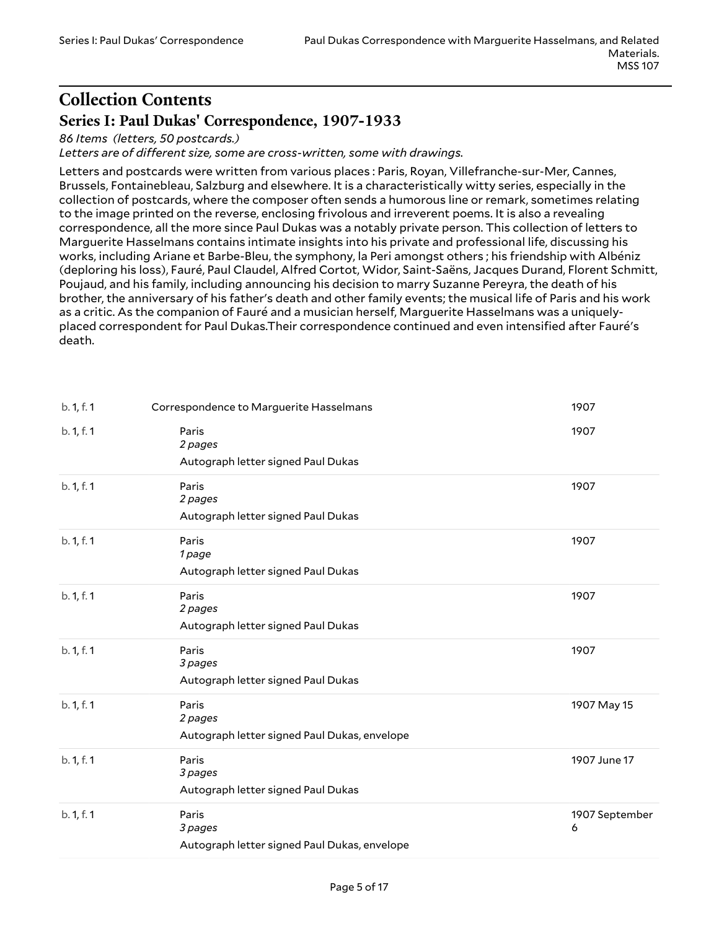# <span id="page-4-0"></span>**Collection Contents Series I: Paul Dukas' Correspondence, 1907-1933**

<span id="page-4-1"></span>*86 Items (letters, 50 postcards.)*

*Letters are of di erent size, some are cross-written, some with drawings.*

Letters and postcards were written from various places : Paris, Royan, Villefranche-sur-Mer, Cannes, Brussels, Fontainebleau, Salzburg and elsewhere. It is a characteristically witty series, especially in the collection of postcards, where the composer often sends a humorous line or remark, sometimes relating to the image printed on the reverse, enclosing frivolous and irreverent poems. It is also a revealing correspondence, all the more since Paul Dukas was a notably private person. This collection of letters to Marguerite Hasselmans contains intimate insights into his private and professional life, discussing his works, including Ariane et Barbe-Bleu, the symphony, la Peri amongst others ; his friendship with Albéniz (deploring his loss), Fauré, Paul Claudel, Alfred Cortot, Widor, Saint-Saëns, Jacques Durand, Florent Schmitt, Poujaud, and his family, including announcing his decision to marry Suzanne Pereyra, the death of his brother, the anniversary of his father's death and other family events; the musical life of Paris and his work as a critic. As the companion of Fauré and a musician herself, Marguerite Hasselmans was a uniquelyplaced correspondent for Paul Dukas.Their correspondence continued and even intensified after Fauré's death.

| Correspondence to Marguerite Hasselmans                          | 1907                                                                                                   |
|------------------------------------------------------------------|--------------------------------------------------------------------------------------------------------|
| Paris<br>2 pages                                                 | 1907                                                                                                   |
|                                                                  |                                                                                                        |
| Paris<br>2 pages                                                 | 1907                                                                                                   |
| Autograph letter signed Paul Dukas                               |                                                                                                        |
| Paris<br>1 page                                                  | 1907                                                                                                   |
| Autograph letter signed Paul Dukas                               |                                                                                                        |
| Paris<br>2 pages                                                 | 1907                                                                                                   |
| Autograph letter signed Paul Dukas                               |                                                                                                        |
| Paris<br>3 pages                                                 | 1907                                                                                                   |
| Autograph letter signed Paul Dukas                               |                                                                                                        |
| Paris<br>2 pages                                                 | 1907 May 15                                                                                            |
|                                                                  |                                                                                                        |
|                                                                  | 1907 June 17                                                                                           |
| Autograph letter signed Paul Dukas                               |                                                                                                        |
| Paris<br>3 pages<br>Autograph letter signed Paul Dukas, envelope | 1907 September<br>6                                                                                    |
|                                                                  | Autograph letter signed Paul Dukas<br>Autograph letter signed Paul Dukas, envelope<br>Paris<br>3 pages |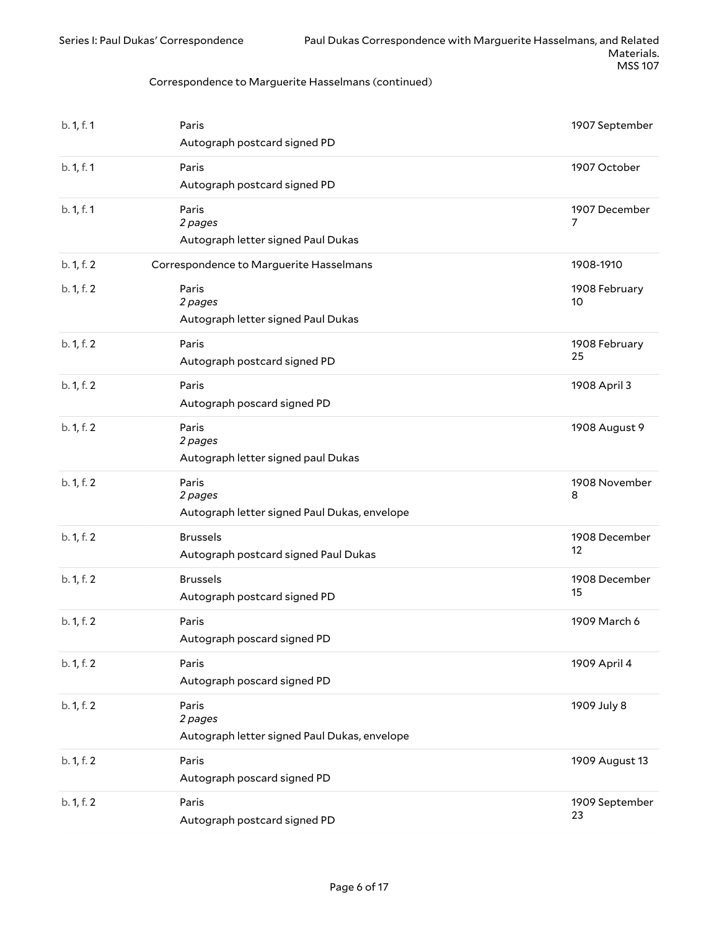| b. 1, f. 1 | Paris<br>Autograph postcard signed PD                            | 1907 September       |
|------------|------------------------------------------------------------------|----------------------|
| b. 1, f. 1 | Paris<br>Autograph postcard signed PD                            | 1907 October         |
| b. 1, f. 1 | Paris<br>2 pages<br>Autograph letter signed Paul Dukas           | 1907 December<br>7   |
| b. 1, f. 2 | Correspondence to Marguerite Hasselmans                          | 1908-1910            |
| b. 1, f. 2 | Paris<br>2 pages<br>Autograph letter signed Paul Dukas           | 1908 February<br>10  |
| b. 1, f. 2 | Paris<br>Autograph postcard signed PD                            | 1908 February<br>25  |
| b. 1, f. 2 | Paris<br>Autograph poscard signed PD                             | 1908 April 3         |
| b. 1, f. 2 | Paris<br>2 pages<br>Autograph letter signed paul Dukas           | 1908 August 9        |
| b. 1, f. 2 | Paris<br>2 pages<br>Autograph letter signed Paul Dukas, envelope | 1908 November<br>8   |
| b. 1, f. 2 | <b>Brussels</b><br>Autograph postcard signed Paul Dukas          | 1908 December<br>12  |
| b. 1, f. 2 | <b>Brussels</b><br>Autograph postcard signed PD                  | 1908 December<br>15  |
| b. 1, f. 2 | Paris<br>Autograph poscard signed PD                             | 1909 March 6         |
| b. 1, f. 2 | Paris<br>Autograph poscard signed PD                             | 1909 April 4         |
| b. 1, f. 2 | Paris<br>2 pages<br>Autograph letter signed Paul Dukas, envelope | 1909 July 8          |
| b. 1, f. 2 | Paris<br>Autograph poscard signed PD                             | 1909 August 13       |
| b. 1, f. 2 | Paris<br>Autograph postcard signed PD                            | 1909 September<br>23 |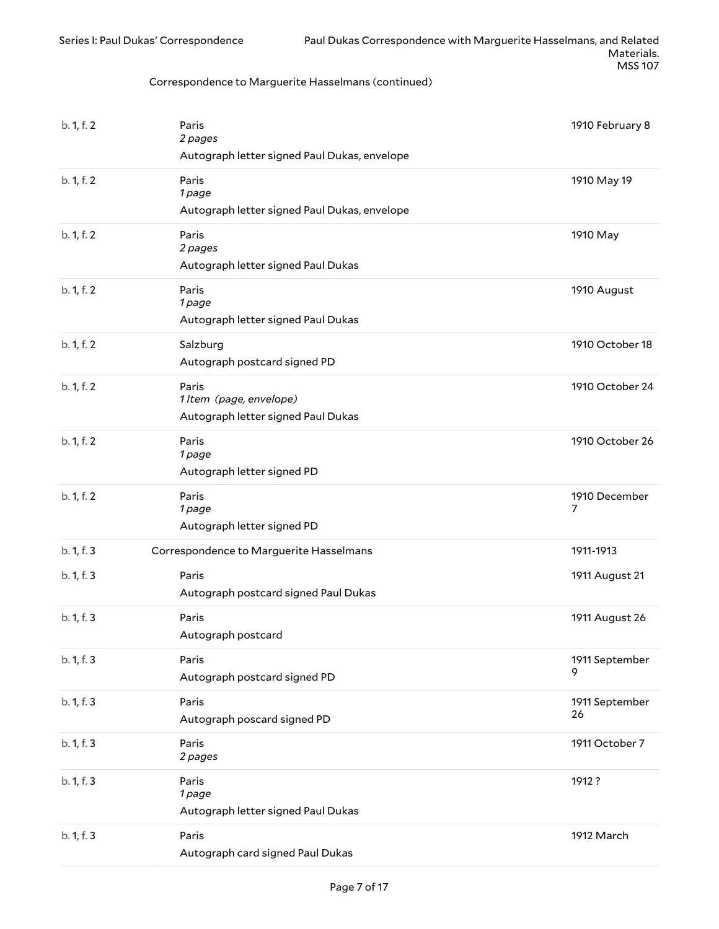| b. 1, f. 2 | Paris<br>2 pages<br>Autograph letter signed Paul Dukas, envelope       | 1910 February 8      |
|------------|------------------------------------------------------------------------|----------------------|
| b. 1, f. 2 | Paris<br>1 page<br>Autograph letter signed Paul Dukas, envelope        | 1910 May 19          |
| b. 1, f. 2 | Paris<br>2 pages<br>Autograph letter signed Paul Dukas                 | 1910 May             |
| b. 1, f. 2 | Paris<br>1 page<br>Autograph letter signed Paul Dukas                  | 1910 August          |
| b. 1, f. 2 | Salzburg<br>Autograph postcard signed PD                               | 1910 October 18      |
| b. 1, f. 2 | Paris<br>1 Item (page, envelope)<br>Autograph letter signed Paul Dukas | 1910 October 24      |
| b. 1, f. 2 | Paris<br>1 page<br>Autograph letter signed PD                          | 1910 October 26      |
| b. 1, f. 2 | Paris<br>1 page<br>Autograph letter signed PD                          | 1910 December<br>7   |
| b. 1, f. 3 | Correspondence to Marguerite Hasselmans                                | 1911-1913            |
| b. 1, f. 3 | Paris<br>Autograph postcard signed Paul Dukas                          | 1911 August 21       |
| b. 1, f. 3 | Paris<br>Autograph postcard                                            | 1911 August 26       |
| b. 1, f. 3 | Paris<br>Autograph postcard signed PD                                  | 1911 September<br>9  |
| b. 1, f. 3 | Paris<br>Autograph poscard signed PD                                   | 1911 September<br>26 |
| b. 1, f. 3 | Paris<br>2 pages                                                       | 1911 October 7       |
| b. 1, f. 3 | Paris<br>1 page<br>Autograph letter signed Paul Dukas                  | 1912 ?               |
| b. 1, f. 3 | Paris<br>Autograph card signed Paul Dukas                              | 1912 March           |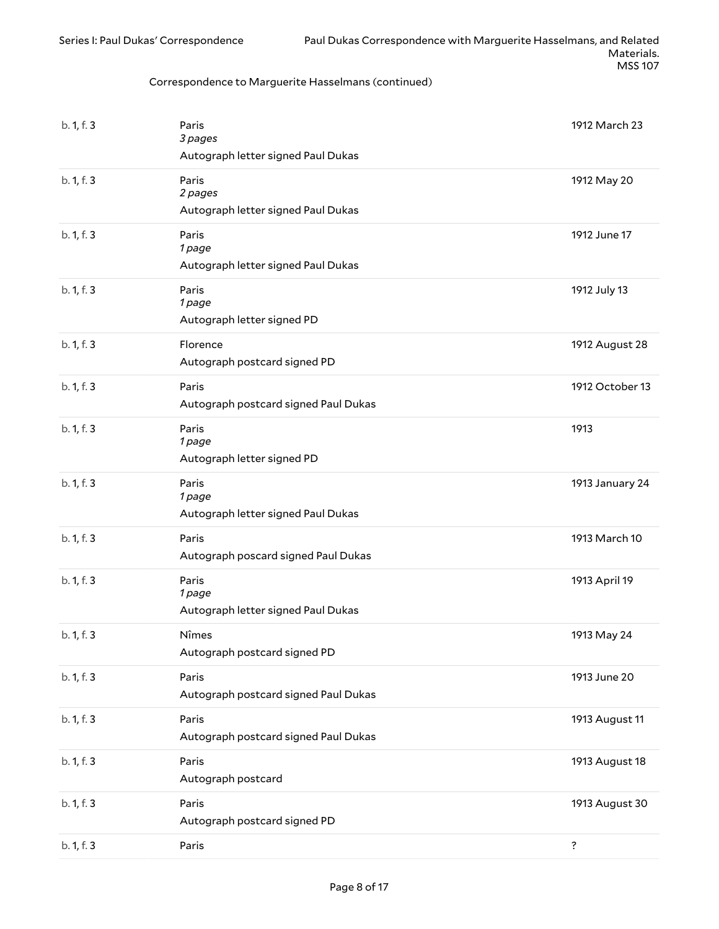| b. 1, f. 3 | Paris<br>3 pages<br>Autograph letter signed Paul Dukas | 1912 March 23   |
|------------|--------------------------------------------------------|-----------------|
| b. 1, f. 3 | Paris<br>2 pages<br>Autograph letter signed Paul Dukas | 1912 May 20     |
| b. 1, f. 3 | Paris<br>1 page<br>Autograph letter signed Paul Dukas  | 1912 June 17    |
| b. 1, f. 3 | Paris<br>1 page<br>Autograph letter signed PD          | 1912 July 13    |
| b. 1, f. 3 | Florence<br>Autograph postcard signed PD               | 1912 August 28  |
| b. 1, f. 3 | Paris<br>Autograph postcard signed Paul Dukas          | 1912 October 13 |
| b. 1, f. 3 | Paris<br>1 page<br>Autograph letter signed PD          | 1913            |
| b. 1, f. 3 | Paris<br>1 page<br>Autograph letter signed Paul Dukas  | 1913 January 24 |
| b. 1, f. 3 | Paris<br>Autograph poscard signed Paul Dukas           | 1913 March 10   |
| b. 1, f. 3 | Paris<br>1 page<br>Autograph letter signed Paul Dukas  | 1913 April 19   |
| b. 1, f. 3 | Nîmes<br>Autograph postcard signed PD                  | 1913 May 24     |
| b. 1, f. 3 | Paris<br>Autograph postcard signed Paul Dukas          | 1913 June 20    |
| b. 1, f. 3 | Paris<br>Autograph postcard signed Paul Dukas          | 1913 August 11  |
| b. 1, f. 3 | Paris<br>Autograph postcard                            | 1913 August 18  |
| b. 1, f. 3 | Paris<br>Autograph postcard signed PD                  | 1913 August 30  |
| b. 1, f. 3 | Paris                                                  | $\ddot{\cdot}$  |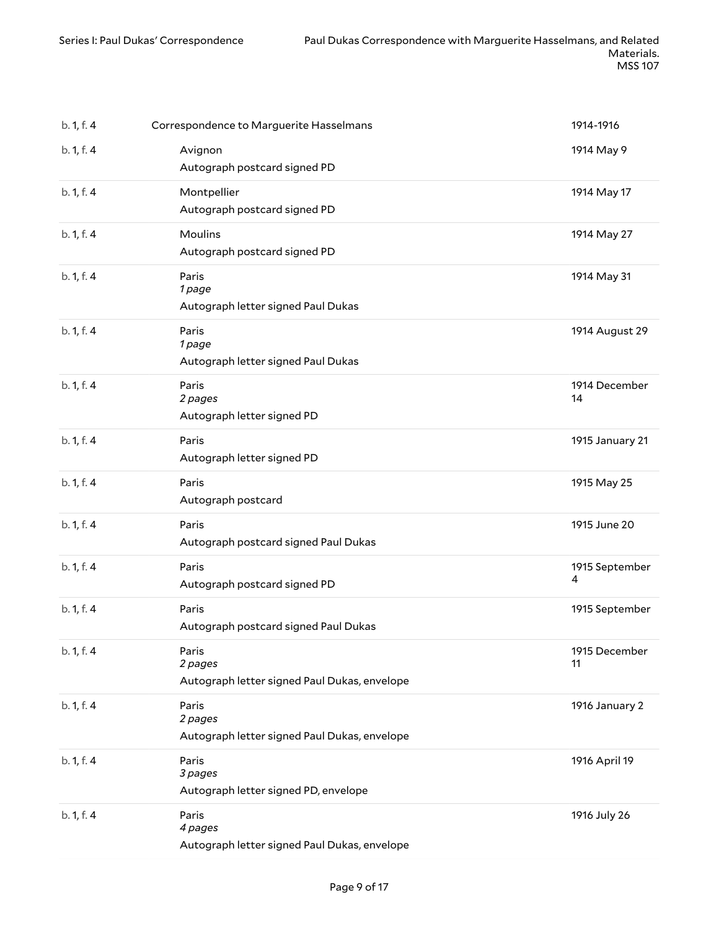| b. 1, f. 4 | Correspondence to Marguerite Hasselmans                          | 1914-1916           |
|------------|------------------------------------------------------------------|---------------------|
| b. 1, f. 4 | Avignon<br>Autograph postcard signed PD                          | 1914 May 9          |
| b. 1, f. 4 | Montpellier<br>Autograph postcard signed PD                      | 1914 May 17         |
| b. 1, f. 4 | Moulins<br>Autograph postcard signed PD                          | 1914 May 27         |
| b. 1, f. 4 | Paris<br>1 page<br>Autograph letter signed Paul Dukas            | 1914 May 31         |
| b. 1, f. 4 | Paris<br>1 page<br>Autograph letter signed Paul Dukas            | 1914 August 29      |
| b. 1, f. 4 | Paris<br>2 pages<br>Autograph letter signed PD                   | 1914 December<br>14 |
| b. 1, f. 4 | Paris<br>Autograph letter signed PD                              | 1915 January 21     |
| b. 1, f. 4 | Paris<br>Autograph postcard                                      | 1915 May 25         |
| b. 1, f. 4 | Paris<br>Autograph postcard signed Paul Dukas                    | 1915 June 20        |
| b. 1, f. 4 | Paris<br>Autograph postcard signed PD                            | 1915 September<br>4 |
| b. 1, f. 4 | Paris<br>Autograph postcard signed Paul Dukas                    | 1915 September      |
| b. 1, f. 4 | Paris<br>2 pages<br>Autograph letter signed Paul Dukas, envelope | 1915 December<br>11 |
| b. 1, f. 4 | Paris<br>2 pages<br>Autograph letter signed Paul Dukas, envelope | 1916 January 2      |
| b. 1, f. 4 | Paris<br>3 pages<br>Autograph letter signed PD, envelope         | 1916 April 19       |
| b. 1, f. 4 | Paris<br>4 pages<br>Autograph letter signed Paul Dukas, envelope | 1916 July 26        |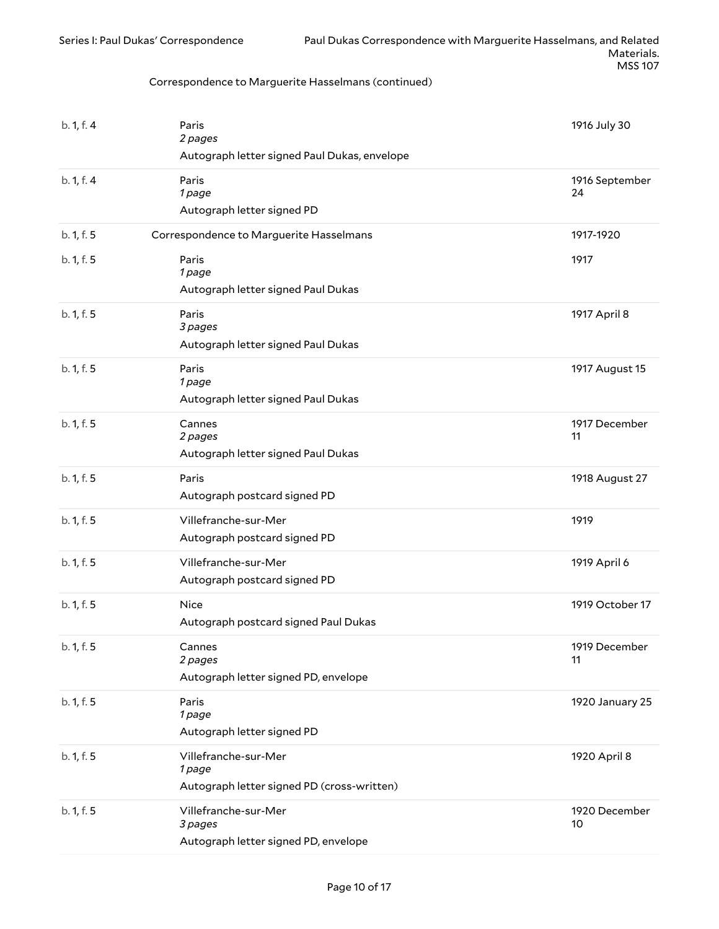| b. 1, f. 4 | Paris<br>2 pages<br>Autograph letter signed Paul Dukas, envelope             | 1916 July 30         |
|------------|------------------------------------------------------------------------------|----------------------|
| b. 1, f. 4 | Paris<br>1 page<br>Autograph letter signed PD                                | 1916 September<br>24 |
| b. 1, f. 5 | Correspondence to Marguerite Hasselmans                                      | 1917-1920            |
| b. 1, f. 5 | Paris<br>1 page<br>Autograph letter signed Paul Dukas                        | 1917                 |
| b. 1, f. 5 | Paris<br>3 pages<br>Autograph letter signed Paul Dukas                       | 1917 April 8         |
| b. 1, f. 5 | Paris<br>1 page<br>Autograph letter signed Paul Dukas                        | 1917 August 15       |
| b. 1, f. 5 | Cannes<br>2 pages<br>Autograph letter signed Paul Dukas                      | 1917 December<br>11  |
| b. 1, f. 5 | Paris<br>Autograph postcard signed PD                                        | 1918 August 27       |
| b. 1, f. 5 | Villefranche-sur-Mer<br>Autograph postcard signed PD                         | 1919                 |
| b. 1, f. 5 | Villefranche-sur-Mer<br>Autograph postcard signed PD                         | 1919 April 6         |
| b. 1, f. 5 | <b>Nice</b><br>Autograph postcard signed Paul Dukas                          | 1919 October 17      |
| b. 1, f. 5 | Cannes<br>2 pages<br>Autograph letter signed PD, envelope                    | 1919 December<br>11  |
| b. 1, f. 5 | Paris<br>1 page<br>Autograph letter signed PD                                | 1920 January 25      |
| b. 1, f. 5 | Villefranche-sur-Mer<br>1 page<br>Autograph letter signed PD (cross-written) | 1920 April 8         |
| b. 1, f. 5 | Villefranche-sur-Mer<br>3 pages<br>Autograph letter signed PD, envelope      | 1920 December<br>10  |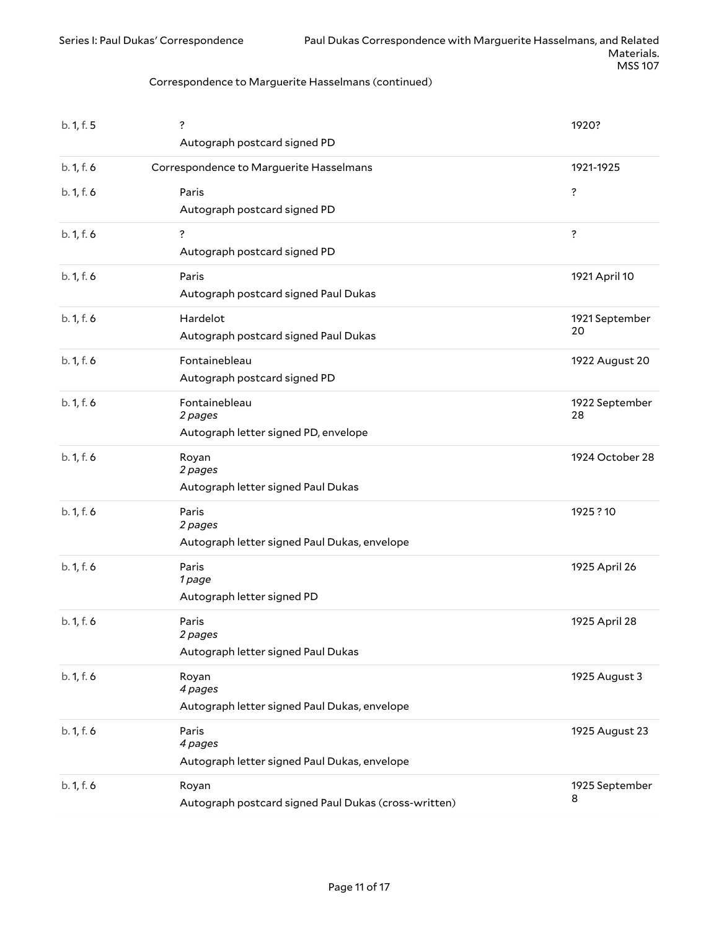| b. 1, f. 5 | ?<br>Autograph postcard signed PD                                | 1920?                |
|------------|------------------------------------------------------------------|----------------------|
| b. 1, f. 6 | Correspondence to Marguerite Hasselmans                          | 1921-1925            |
| b. 1, f. 6 | Paris<br>Autograph postcard signed PD                            | ?                    |
| b. 1, f. 6 | ?<br>Autograph postcard signed PD                                | ?                    |
| b. 1, f. 6 | Paris<br>Autograph postcard signed Paul Dukas                    | 1921 April 10        |
| b. 1, f. 6 | Hardelot<br>Autograph postcard signed Paul Dukas                 | 1921 September<br>20 |
| b. 1, f. 6 | Fontainebleau<br>Autograph postcard signed PD                    | 1922 August 20       |
| b. 1, f. 6 | Fontainebleau<br>2 pages<br>Autograph letter signed PD, envelope | 1922 September<br>28 |
| b. 1, f. 6 | Royan<br>2 pages<br>Autograph letter signed Paul Dukas           | 1924 October 28      |
| b. 1, f. 6 | Paris<br>2 pages<br>Autograph letter signed Paul Dukas, envelope | 1925 ? 10            |
| b. 1, f. 6 | Paris<br>1 page<br>Autograph letter signed PD                    | 1925 April 26        |
| b. 1, f. 6 | Paris<br>2 pages<br>Autograph letter signed Paul Dukas           | 1925 April 28        |
| b. 1, f. 6 | Royan<br>4 pages<br>Autograph letter signed Paul Dukas, envelope | 1925 August 3        |
| b. 1, f. 6 | Paris<br>4 pages<br>Autograph letter signed Paul Dukas, envelope | 1925 August 23       |
| b. 1, f. 6 | Royan<br>Autograph postcard signed Paul Dukas (cross-written)    | 1925 September<br>8  |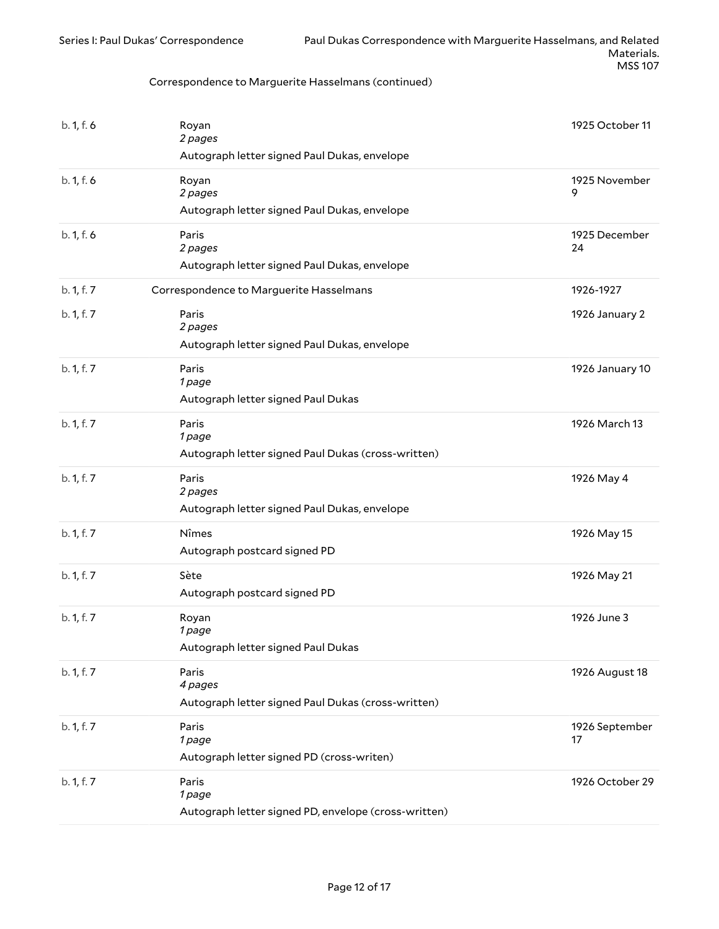| b. 1, f. 6 | Royan<br>2 pages                                    | 1925 October 11      |
|------------|-----------------------------------------------------|----------------------|
|            | Autograph letter signed Paul Dukas, envelope        |                      |
| b. 1, f. 6 | Royan<br>2 pages                                    | 1925 November<br>9   |
|            | Autograph letter signed Paul Dukas, envelope        |                      |
| b. 1, f. 6 | Paris<br>2 pages                                    | 1925 December<br>24  |
|            | Autograph letter signed Paul Dukas, envelope        |                      |
| b. 1, f. 7 | Correspondence to Marguerite Hasselmans             | 1926-1927            |
| b. 1, f. 7 | Paris<br>2 pages                                    | 1926 January 2       |
|            | Autograph letter signed Paul Dukas, envelope        |                      |
| b. 1, f. 7 | Paris<br>1 page                                     | 1926 January 10      |
|            | Autograph letter signed Paul Dukas                  |                      |
| b. 1, f. 7 | Paris<br>1 page                                     | 1926 March 13        |
|            | Autograph letter signed Paul Dukas (cross-written)  |                      |
| b. 1, f. 7 | Paris                                               | 1926 May 4           |
|            |                                                     |                      |
|            | 2 pages                                             |                      |
|            | Autograph letter signed Paul Dukas, envelope        |                      |
| b. 1, f. 7 | Nîmes                                               | 1926 May 15          |
|            | Autograph postcard signed PD                        |                      |
| b. 1, f. 7 | Sète                                                | 1926 May 21          |
|            | Autograph postcard signed PD                        |                      |
| b. 1, f. 7 | Royan                                               | 1926 June 3          |
|            | 1 page                                              |                      |
|            | Autograph letter signed Paul Dukas                  |                      |
| b. 1, f. 7 | Paris                                               | 1926 August 18       |
|            | 4 pages                                             |                      |
|            | Autograph letter signed Paul Dukas (cross-written)  |                      |
| b. 1, f. 7 | Paris                                               | 1926 September<br>17 |
|            | 1 page<br>Autograph letter signed PD (cross-writen) |                      |
|            |                                                     |                      |
| b. 1, f. 7 | Paris<br>1 page                                     | 1926 October 29      |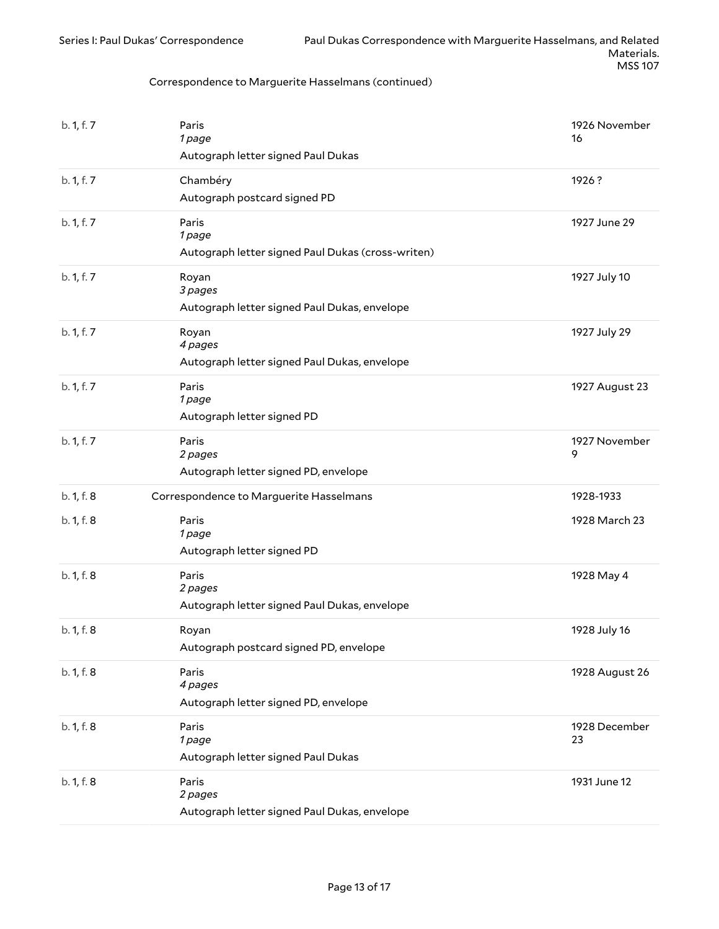| b. 1, f. 7 | Paris<br>1 page<br>Autograph letter signed Paul Dukas                | 1926 November<br>16 |
|------------|----------------------------------------------------------------------|---------------------|
| b. 1, f. 7 | Chambéry<br>Autograph postcard signed PD                             | 1926?               |
| b. 1, f. 7 | Paris<br>1 page<br>Autograph letter signed Paul Dukas (cross-writen) | 1927 June 29        |
| b. 1, f. 7 | Royan<br>3 pages<br>Autograph letter signed Paul Dukas, envelope     | 1927 July 10        |
| b. 1, f. 7 | Royan<br>4 pages<br>Autograph letter signed Paul Dukas, envelope     | 1927 July 29        |
| b. 1, f. 7 | Paris<br>1 page<br>Autograph letter signed PD                        | 1927 August 23      |
| b. 1, f. 7 | Paris<br>2 pages<br>Autograph letter signed PD, envelope             | 1927 November<br>9  |
| b. 1, f. 8 | Correspondence to Marguerite Hasselmans                              | 1928-1933           |
| b. 1, f. 8 | Paris<br>1 page<br>Autograph letter signed PD                        | 1928 March 23       |
| b. 1, f. 8 | Paris<br>2 pages<br>Autograph letter signed Paul Dukas, envelope     | 1928 May 4          |
| b. 1, f. 8 | Royan<br>Autograph postcard signed PD, envelope                      | 1928 July 16        |
| b. 1, f. 8 | Paris<br>4 pages<br>Autograph letter signed PD, envelope             | 1928 August 26      |
| b. 1, f. 8 | Paris<br>1 page<br>Autograph letter signed Paul Dukas                | 1928 December<br>23 |
| b. 1, f. 8 | Paris<br>2 pages<br>Autograph letter signed Paul Dukas, envelope     | 1931 June 12        |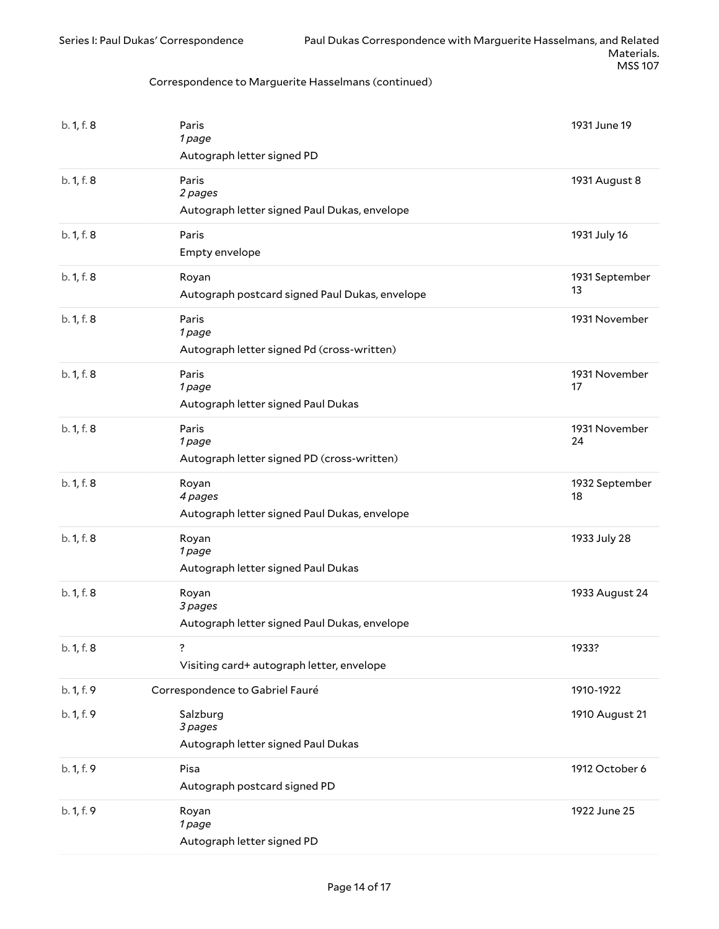| b. 1, f. 8 | Paris<br>1 page<br>Autograph letter signed PD                    | 1931 June 19         |
|------------|------------------------------------------------------------------|----------------------|
| b. 1, f. 8 | Paris<br>2 pages<br>Autograph letter signed Paul Dukas, envelope | 1931 August 8        |
| b. 1, f. 8 | Paris<br>Empty envelope                                          | 1931 July 16         |
| b. 1, f. 8 | Royan<br>Autograph postcard signed Paul Dukas, envelope          | 1931 September<br>13 |
| b. 1, f. 8 | Paris<br>1 page<br>Autograph letter signed Pd (cross-written)    | 1931 November        |
| b. 1, f. 8 | Paris<br>1 page<br>Autograph letter signed Paul Dukas            | 1931 November<br>17  |
| b. 1, f. 8 | Paris<br>1 page<br>Autograph letter signed PD (cross-written)    | 1931 November<br>24  |
| b. 1, f. 8 | Royan<br>4 pages<br>Autograph letter signed Paul Dukas, envelope | 1932 September<br>18 |
| b. 1, f. 8 | Royan<br>1 page<br>Autograph letter signed Paul Dukas            | 1933 July 28         |
| b. 1, f. 8 | Royan<br>3 pages<br>Autograph letter signed Paul Dukas, envelope | 1933 August 24       |
| b. 1, f. 8 | ?<br>Visiting card+ autograph letter, envelope                   | 1933?                |
| b. 1, f. 9 | Correspondence to Gabriel Fauré                                  | 1910-1922            |
| b. 1, f. 9 | Salzburg<br>3 pages<br>Autograph letter signed Paul Dukas        | 1910 August 21       |
| b. 1, f. 9 | Pisa<br>Autograph postcard signed PD                             | 1912 October 6       |
| b. 1, f. 9 | Royan<br>1 page<br>Autograph letter signed PD                    | 1922 June 25         |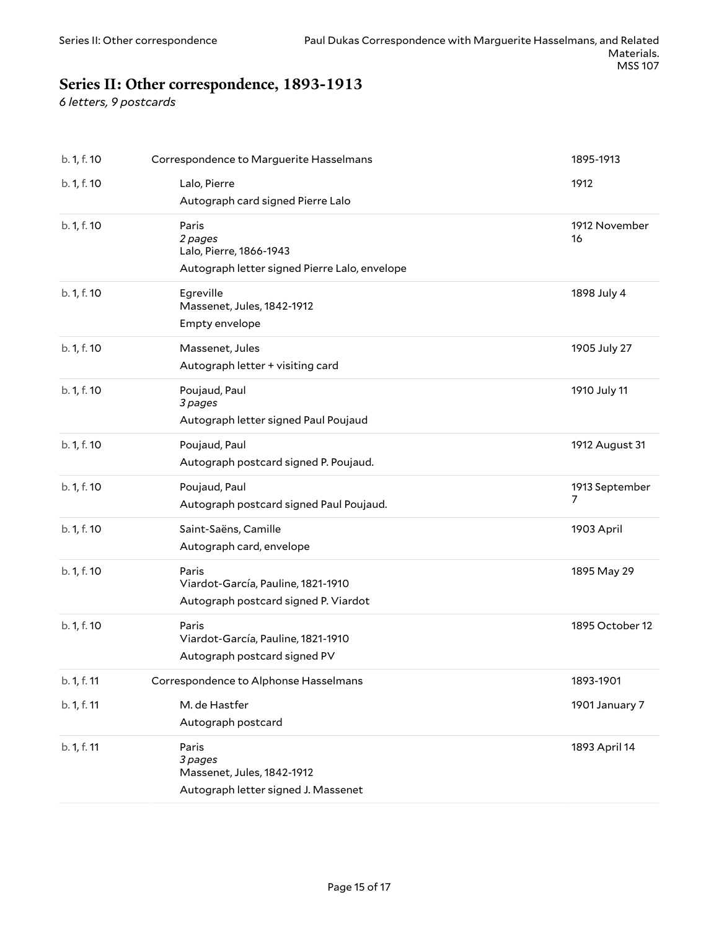# <span id="page-14-0"></span>**Series II: Other correspondence, 1893-1913**

*6 letters, 9 postcards*

| b. 1, f. 10 | Correspondence to Marguerite Hasselmans                                                      | 1895-1913                        |
|-------------|----------------------------------------------------------------------------------------------|----------------------------------|
| b. 1, f. 10 | Lalo, Pierre<br>Autograph card signed Pierre Lalo                                            | 1912                             |
| b. 1, f. 10 | Paris<br>2 pages<br>Lalo, Pierre, 1866-1943<br>Autograph letter signed Pierre Lalo, envelope | 1912 November<br>16              |
| b. 1, f. 10 | Egreville<br>Massenet, Jules, 1842-1912<br>Empty envelope                                    | 1898 July 4                      |
| b. 1, f. 10 | Massenet, Jules<br>Autograph letter + visiting card                                          | 1905 July 27                     |
| b. 1, f. 10 | Poujaud, Paul<br>3 pages<br>Autograph letter signed Paul Poujaud                             | 1910 July 11                     |
| b. 1, f. 10 | Poujaud, Paul<br>Autograph postcard signed P. Poujaud.                                       | 1912 August 31                   |
|             |                                                                                              |                                  |
| b. 1, f. 10 | Poujaud, Paul<br>Autograph postcard signed Paul Poujaud.                                     | 1913 September<br>$\overline{7}$ |
| b. 1, f. 10 | Saint-Saëns, Camille<br>Autograph card, envelope                                             | 1903 April                       |
| b. 1, f. 10 | Paris<br>Viardot-García, Pauline, 1821-1910<br>Autograph postcard signed P. Viardot          | 1895 May 29                      |
| b. 1, f. 10 | Paris<br>Viardot-García, Pauline, 1821-1910<br>Autograph postcard signed PV                  | 1895 October 12                  |
| b. 1, f. 11 | Correspondence to Alphonse Hasselmans                                                        | 1893-1901                        |
| b. 1, f. 11 | M. de Hastfer<br>Autograph postcard                                                          | 1901 January 7                   |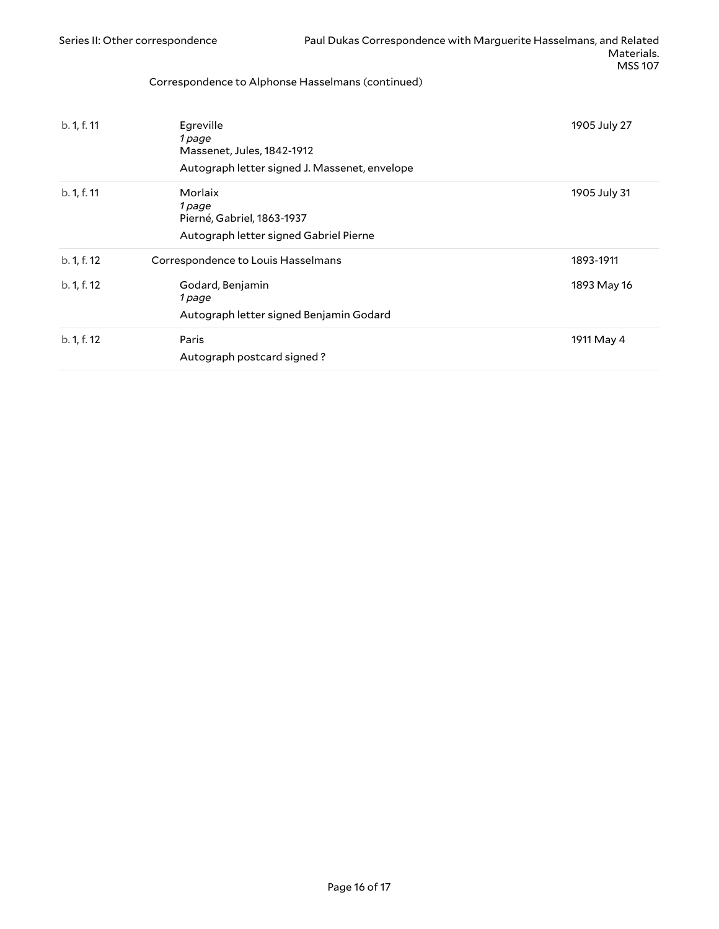Correspondence to Alphonse Hasselmans (continued)

| b. 1, f. 11 | Egreville<br>1 page<br>Massenet, Jules, 1842-1912<br>Autograph letter signed J. Massenet, envelope | 1905 July 27 |
|-------------|----------------------------------------------------------------------------------------------------|--------------|
| b. 1, f. 11 | Morlaix<br>1 page<br>Pierné, Gabriel, 1863-1937<br>Autograph letter signed Gabriel Pierne          | 1905 July 31 |
| b. 1, f. 12 | Correspondence to Louis Hasselmans                                                                 | 1893-1911    |
| b. 1, f. 12 | Godard, Benjamin<br>1 page<br>Autograph letter signed Benjamin Godard                              | 1893 May 16  |
| b. 1, f. 12 | Paris<br>Autograph postcard signed?                                                                | 1911 May 4   |